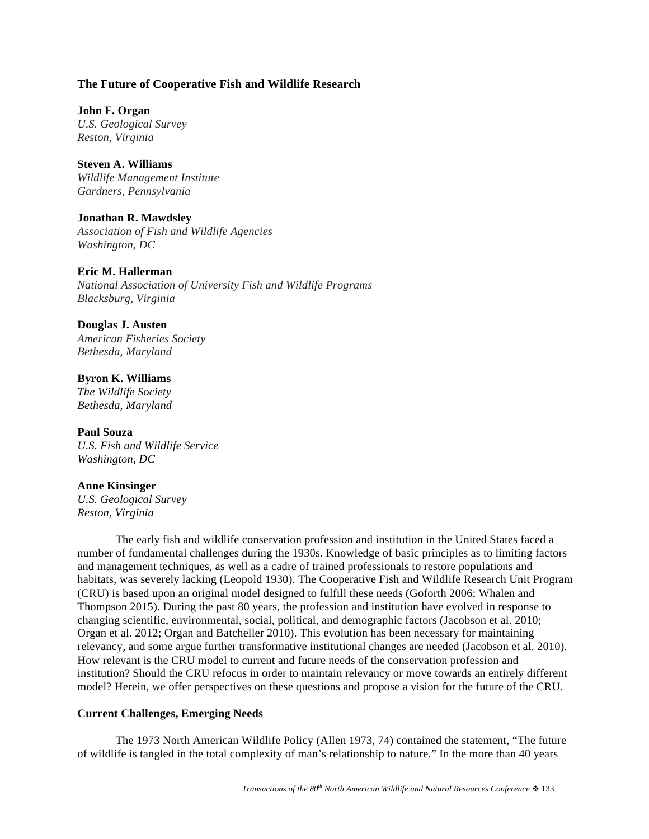# **The Future of Cooperative Fish and Wildlife Research**

**John F. Organ**  *U.S. Geological Survey Reston, Virginia* 

**Steven A. Williams**  *Wildlife Management Institute Gardners, Pennsylvania* 

# **Jonathan R. Mawdsley**

*Association of Fish and Wildlife Agencies Washington, DC* 

# **Eric M. Hallerman**

*National Association of University Fish and Wildlife Programs Blacksburg, Virginia* 

### **Douglas J. Austen**

*American Fisheries Society Bethesda, Maryland* 

# **Byron K. Williams**

*The Wildlife Society Bethesda, Maryland* 

# **Paul Souza**

*U.S. Fish and Wildlife Service Washington, DC* 

#### **Anne Kinsinger**

*U.S. Geological Survey Reston, Virginia* 

The early fish and wildlife conservation profession and institution in the United States faced a number of fundamental challenges during the 1930s. Knowledge of basic principles as to limiting factors and management techniques, as well as a cadre of trained professionals to restore populations and habitats, was severely lacking (Leopold 1930). The Cooperative Fish and Wildlife Research Unit Program (CRU) is based upon an original model designed to fulfill these needs (Goforth 2006; Whalen and Thompson 2015). During the past 80 years, the profession and institution have evolved in response to changing scientific, environmental, social, political, and demographic factors (Jacobson et al. 2010; Organ et al. 2012; Organ and Batcheller 2010). This evolution has been necessary for maintaining relevancy, and some argue further transformative institutional changes are needed (Jacobson et al. 2010). How relevant is the CRU model to current and future needs of the conservation profession and institution? Should the CRU refocus in order to maintain relevancy or move towards an entirely different model? Herein, we offer perspectives on these questions and propose a vision for the future of the CRU.

# **Current Challenges, Emerging Needs**

 The 1973 North American Wildlife Policy (Allen 1973, 74) contained the statement, "The future of wildlife is tangled in the total complexity of man's relationship to nature." In the more than 40 years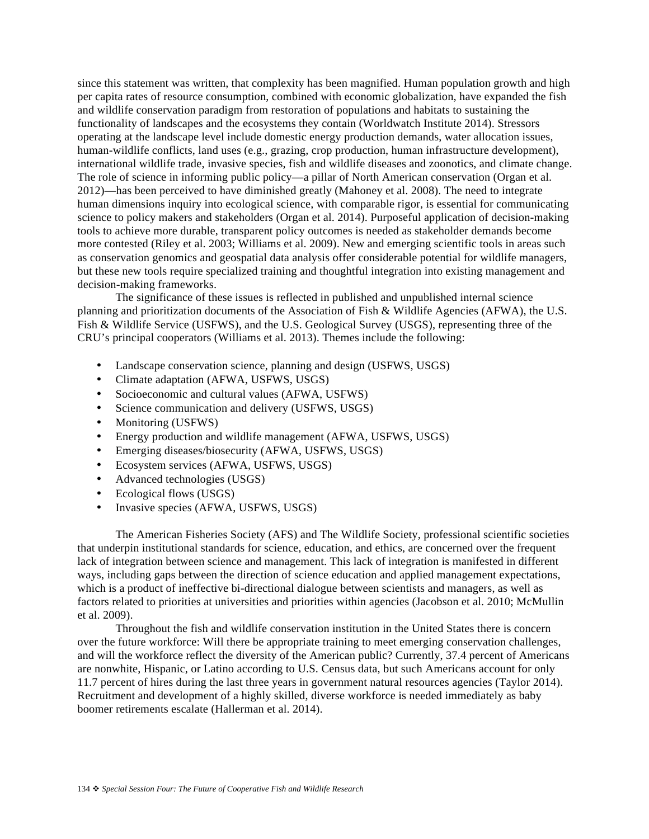since this statement was written, that complexity has been magnified. Human population growth and high per capita rates of resource consumption, combined with economic globalization, have expanded the fish and wildlife conservation paradigm from restoration of populations and habitats to sustaining the functionality of landscapes and the ecosystems they contain (Worldwatch Institute 2014). Stressors operating at the landscape level include domestic energy production demands, water allocation issues, human-wildlife conflicts, land uses (e.g., grazing, crop production, human infrastructure development), international wildlife trade, invasive species, fish and wildlife diseases and zoonotics, and climate change. The role of science in informing public policy—a pillar of North American conservation (Organ et al. 2012)—has been perceived to have diminished greatly (Mahoney et al. 2008). The need to integrate human dimensions inquiry into ecological science, with comparable rigor, is essential for communicating science to policy makers and stakeholders (Organ et al. 2014). Purposeful application of decision-making tools to achieve more durable, transparent policy outcomes is needed as stakeholder demands become more contested (Riley et al. 2003; Williams et al. 2009). New and emerging scientific tools in areas such as conservation genomics and geospatial data analysis offer considerable potential for wildlife managers, but these new tools require specialized training and thoughtful integration into existing management and decision-making frameworks.

 The significance of these issues is reflected in published and unpublished internal science planning and prioritization documents of the Association of Fish & Wildlife Agencies (AFWA), the U.S. Fish & Wildlife Service (USFWS), and the U.S. Geological Survey (USGS), representing three of the CRU's principal cooperators (Williams et al. 2013). Themes include the following:

- Landscape conservation science, planning and design (USFWS, USGS)
- Climate adaptation (AFWA, USFWS, USGS)
- Socioeconomic and cultural values (AFWA, USFWS)
- Science communication and delivery (USFWS, USGS)
- Monitoring (USFWS)
- Energy production and wildlife management (AFWA, USFWS, USGS)
- Emerging diseases/biosecurity (AFWA, USFWS, USGS)
- Ecosystem services (AFWA, USFWS, USGS)
- Advanced technologies (USGS)
- Ecological flows (USGS)
- Invasive species (AFWA, USFWS, USGS)

The American Fisheries Society (AFS) and The Wildlife Society, professional scientific societies that underpin institutional standards for science, education, and ethics, are concerned over the frequent lack of integration between science and management. This lack of integration is manifested in different ways, including gaps between the direction of science education and applied management expectations, which is a product of ineffective bi-directional dialogue between scientists and managers, as well as factors related to priorities at universities and priorities within agencies (Jacobson et al. 2010; McMullin et al. 2009).

Throughout the fish and wildlife conservation institution in the United States there is concern over the future workforce: Will there be appropriate training to meet emerging conservation challenges, and will the workforce reflect the diversity of the American public? Currently, 37.4 percent of Americans are nonwhite, Hispanic, or Latino according to U.S. Census data, but such Americans account for only 11.7 percent of hires during the last three years in government natural resources agencies (Taylor 2014). Recruitment and development of a highly skilled, diverse workforce is needed immediately as baby boomer retirements escalate (Hallerman et al. 2014).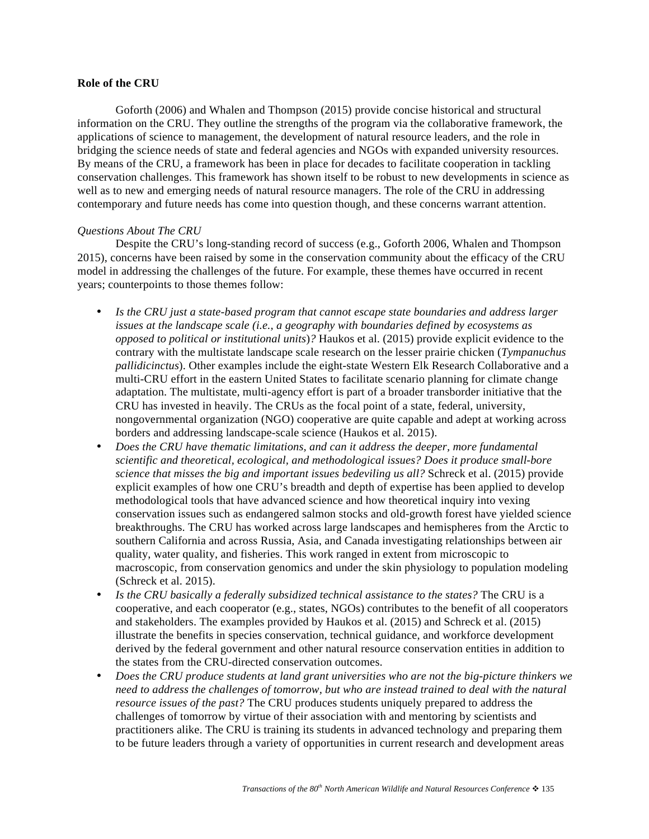#### **Role of the CRU**

 Goforth (2006) and Whalen and Thompson (2015) provide concise historical and structural information on the CRU. They outline the strengths of the program via the collaborative framework, the applications of science to management, the development of natural resource leaders, and the role in bridging the science needs of state and federal agencies and NGOs with expanded university resources. By means of the CRU, a framework has been in place for decades to facilitate cooperation in tackling conservation challenges. This framework has shown itself to be robust to new developments in science as well as to new and emerging needs of natural resource managers. The role of the CRU in addressing contemporary and future needs has come into question though, and these concerns warrant attention.

#### *Questions About The CRU*

 Despite the CRU's long-standing record of success (e.g., Goforth 2006, Whalen and Thompson 2015), concerns have been raised by some in the conservation community about the efficacy of the CRU model in addressing the challenges of the future. For example, these themes have occurred in recent years; counterpoints to those themes follow:

- *Is the CRU just a state-based program that cannot escape state boundaries and address larger issues at the landscape scale (i.e., a geography with boundaries defined by ecosystems as opposed to political or institutional units*)*?* Haukos et al. (2015) provide explicit evidence to the contrary with the multistate landscape scale research on the lesser prairie chicken (*Tympanuchus pallidicinctus*). Other examples include the eight-state Western Elk Research Collaborative and a multi-CRU effort in the eastern United States to facilitate scenario planning for climate change adaptation. The multistate, multi-agency effort is part of a broader transborder initiative that the CRU has invested in heavily. The CRUs as the focal point of a state, federal, university, nongovernmental organization (NGO) cooperative are quite capable and adept at working across borders and addressing landscape-scale science (Haukos et al. 2015).
- *Does the CRU have thematic limitations, and can it address the deeper, more fundamental scientific and theoretical, ecological, and methodological issues? Does it produce small-bore science that misses the big and important issues bedeviling us all?* Schreck et al. (2015) provide explicit examples of how one CRU's breadth and depth of expertise has been applied to develop methodological tools that have advanced science and how theoretical inquiry into vexing conservation issues such as endangered salmon stocks and old-growth forest have yielded science breakthroughs. The CRU has worked across large landscapes and hemispheres from the Arctic to southern California and across Russia, Asia, and Canada investigating relationships between air quality, water quality, and fisheries. This work ranged in extent from microscopic to macroscopic, from conservation genomics and under the skin physiology to population modeling (Schreck et al. 2015).
- *Is the CRU basically a federally subsidized technical assistance to the states?* The CRU is a cooperative, and each cooperator (e.g., states, NGOs) contributes to the benefit of all cooperators and stakeholders. The examples provided by Haukos et al. (2015) and Schreck et al. (2015) illustrate the benefits in species conservation, technical guidance, and workforce development derived by the federal government and other natural resource conservation entities in addition to the states from the CRU-directed conservation outcomes.
- *Does the CRU produce students at land grant universities who are not the big-picture thinkers we need to address the challenges of tomorrow, but who are instead trained to deal with the natural resource issues of the past?* The CRU produces students uniquely prepared to address the challenges of tomorrow by virtue of their association with and mentoring by scientists and practitioners alike. The CRU is training its students in advanced technology and preparing them to be future leaders through a variety of opportunities in current research and development areas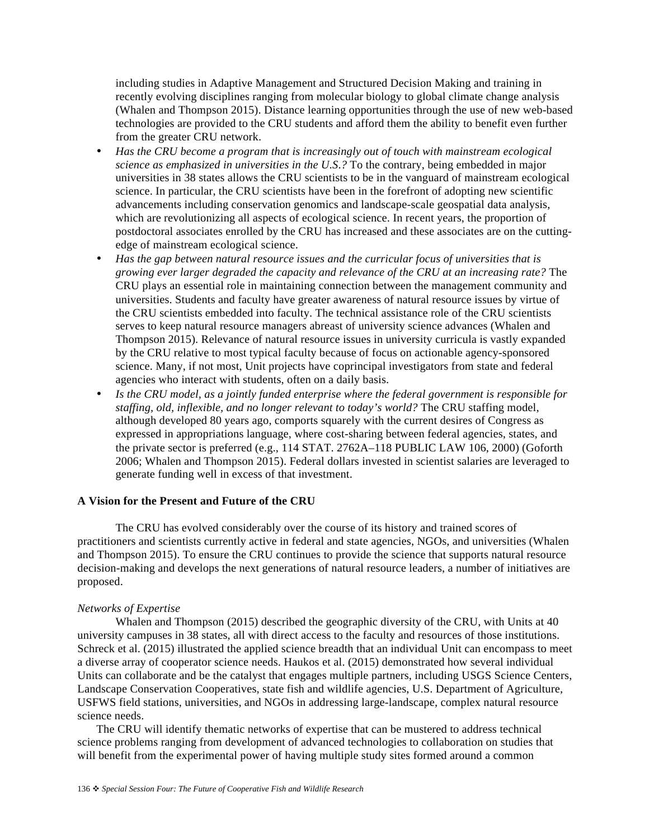including studies in Adaptive Management and Structured Decision Making and training in recently evolving disciplines ranging from molecular biology to global climate change analysis (Whalen and Thompson 2015). Distance learning opportunities through the use of new web-based technologies are provided to the CRU students and afford them the ability to benefit even further from the greater CRU network.

- *Has the CRU become a program that is increasingly out of touch with mainstream ecological science as emphasized in universities in the U.S*.*?* To the contrary, being embedded in major universities in 38 states allows the CRU scientists to be in the vanguard of mainstream ecological science. In particular, the CRU scientists have been in the forefront of adopting new scientific advancements including conservation genomics and landscape-scale geospatial data analysis, which are revolutionizing all aspects of ecological science. In recent years, the proportion of postdoctoral associates enrolled by the CRU has increased and these associates are on the cuttingedge of mainstream ecological science.
- *Has the gap between natural resource issues and the curricular focus of universities that is growing ever larger degraded the capacity and relevance of the CRU at an increasing rate?* The CRU plays an essential role in maintaining connection between the management community and universities. Students and faculty have greater awareness of natural resource issues by virtue of the CRU scientists embedded into faculty. The technical assistance role of the CRU scientists serves to keep natural resource managers abreast of university science advances (Whalen and Thompson 2015). Relevance of natural resource issues in university curricula is vastly expanded by the CRU relative to most typical faculty because of focus on actionable agency-sponsored science. Many, if not most, Unit projects have coprincipal investigators from state and federal agencies who interact with students, often on a daily basis.
- *Is the CRU model, as a jointly funded enterprise where the federal government is responsible for staffing, old, inflexible, and no longer relevant to today's world?* The CRU staffing model, although developed 80 years ago, comports squarely with the current desires of Congress as expressed in appropriations language, where cost-sharing between federal agencies, states, and the private sector is preferred (e.g., 114 STAT. 2762A–118 PUBLIC LAW 106, 2000) (Goforth 2006; Whalen and Thompson 2015). Federal dollars invested in scientist salaries are leveraged to generate funding well in excess of that investment.

# **A Vision for the Present and Future of the CRU**

 The CRU has evolved considerably over the course of its history and trained scores of practitioners and scientists currently active in federal and state agencies, NGOs, and universities (Whalen and Thompson 2015). To ensure the CRU continues to provide the science that supports natural resource decision-making and develops the next generations of natural resource leaders, a number of initiatives are proposed.

#### *Networks of Expertise*

 Whalen and Thompson (2015) described the geographic diversity of the CRU, with Units at 40 university campuses in 38 states, all with direct access to the faculty and resources of those institutions. Schreck et al. (2015) illustrated the applied science breadth that an individual Unit can encompass to meet a diverse array of cooperator science needs. Haukos et al. (2015) demonstrated how several individual Units can collaborate and be the catalyst that engages multiple partners, including USGS Science Centers, Landscape Conservation Cooperatives, state fish and wildlife agencies, U.S. Department of Agriculture, USFWS field stations, universities, and NGOs in addressing large-landscape, complex natural resource science needs.

The CRU will identify thematic networks of expertise that can be mustered to address technical science problems ranging from development of advanced technologies to collaboration on studies that will benefit from the experimental power of having multiple study sites formed around a common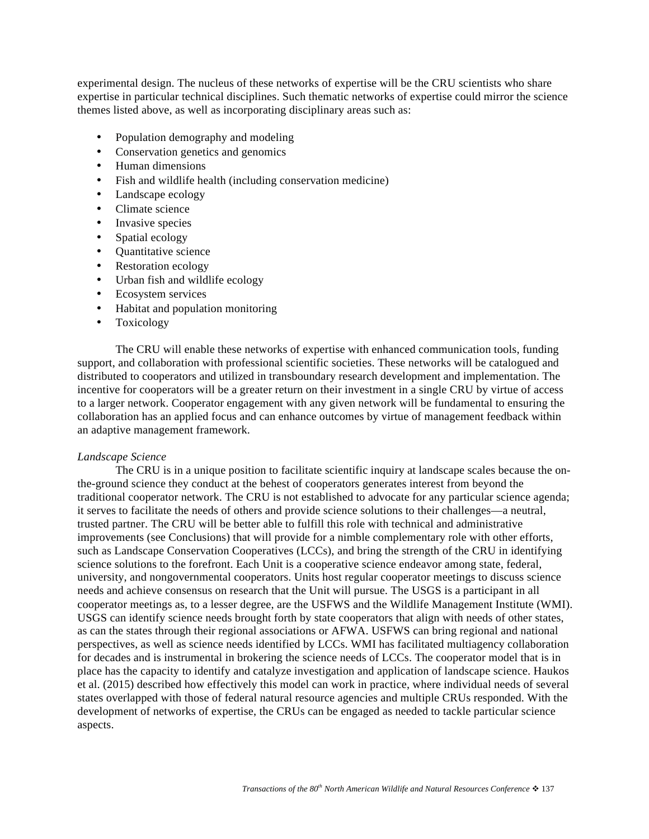experimental design. The nucleus of these networks of expertise will be the CRU scientists who share expertise in particular technical disciplines. Such thematic networks of expertise could mirror the science themes listed above, as well as incorporating disciplinary areas such as:

- Population demography and modeling
- Conservation genetics and genomics
- Human dimensions
- Fish and wildlife health (including conservation medicine)
- Landscape ecology
- Climate science
- Invasive species
- Spatial ecology
- Quantitative science
- Restoration ecology
- Urban fish and wildlife ecology
- Ecosystem services
- Habitat and population monitoring
- Toxicology

The CRU will enable these networks of expertise with enhanced communication tools, funding support, and collaboration with professional scientific societies. These networks will be catalogued and distributed to cooperators and utilized in transboundary research development and implementation. The incentive for cooperators will be a greater return on their investment in a single CRU by virtue of access to a larger network. Cooperator engagement with any given network will be fundamental to ensuring the collaboration has an applied focus and can enhance outcomes by virtue of management feedback within an adaptive management framework.

#### *Landscape Science*

 The CRU is in a unique position to facilitate scientific inquiry at landscape scales because the onthe-ground science they conduct at the behest of cooperators generates interest from beyond the traditional cooperator network. The CRU is not established to advocate for any particular science agenda; it serves to facilitate the needs of others and provide science solutions to their challenges—a neutral, trusted partner. The CRU will be better able to fulfill this role with technical and administrative improvements (see Conclusions) that will provide for a nimble complementary role with other efforts, such as Landscape Conservation Cooperatives (LCCs), and bring the strength of the CRU in identifying science solutions to the forefront. Each Unit is a cooperative science endeavor among state, federal, university, and nongovernmental cooperators. Units host regular cooperator meetings to discuss science needs and achieve consensus on research that the Unit will pursue. The USGS is a participant in all cooperator meetings as, to a lesser degree, are the USFWS and the Wildlife Management Institute (WMI). USGS can identify science needs brought forth by state cooperators that align with needs of other states, as can the states through their regional associations or AFWA. USFWS can bring regional and national perspectives, as well as science needs identified by LCCs. WMI has facilitated multiagency collaboration for decades and is instrumental in brokering the science needs of LCCs. The cooperator model that is in place has the capacity to identify and catalyze investigation and application of landscape science. Haukos et al. (2015) described how effectively this model can work in practice, where individual needs of several states overlapped with those of federal natural resource agencies and multiple CRUs responded. With the development of networks of expertise, the CRUs can be engaged as needed to tackle particular science aspects.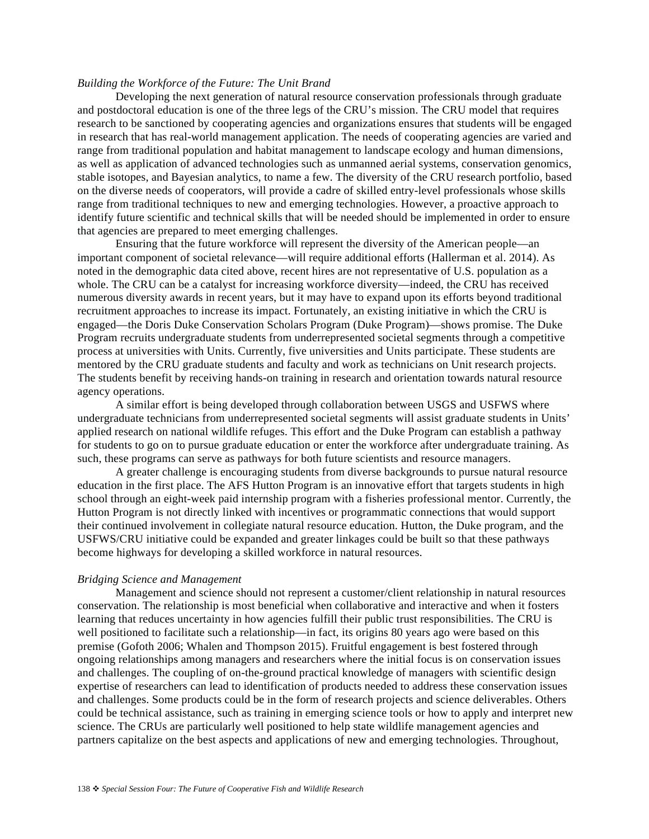#### *Building the Workforce of the Future: The Unit Brand*

 Developing the next generation of natural resource conservation professionals through graduate and postdoctoral education is one of the three legs of the CRU's mission. The CRU model that requires research to be sanctioned by cooperating agencies and organizations ensures that students will be engaged in research that has real-world management application. The needs of cooperating agencies are varied and range from traditional population and habitat management to landscape ecology and human dimensions, as well as application of advanced technologies such as unmanned aerial systems, conservation genomics, stable isotopes, and Bayesian analytics, to name a few. The diversity of the CRU research portfolio, based on the diverse needs of cooperators, will provide a cadre of skilled entry-level professionals whose skills range from traditional techniques to new and emerging technologies. However, a proactive approach to identify future scientific and technical skills that will be needed should be implemented in order to ensure that agencies are prepared to meet emerging challenges.

 Ensuring that the future workforce will represent the diversity of the American people—an important component of societal relevance—will require additional efforts (Hallerman et al. 2014). As noted in the demographic data cited above, recent hires are not representative of U.S. population as a whole. The CRU can be a catalyst for increasing workforce diversity—indeed, the CRU has received numerous diversity awards in recent years, but it may have to expand upon its efforts beyond traditional recruitment approaches to increase its impact. Fortunately, an existing initiative in which the CRU is engaged—the Doris Duke Conservation Scholars Program (Duke Program)—shows promise. The Duke Program recruits undergraduate students from underrepresented societal segments through a competitive process at universities with Units. Currently, five universities and Units participate. These students are mentored by the CRU graduate students and faculty and work as technicians on Unit research projects. The students benefit by receiving hands-on training in research and orientation towards natural resource agency operations.

 A similar effort is being developed through collaboration between USGS and USFWS where undergraduate technicians from underrepresented societal segments will assist graduate students in Units' applied research on national wildlife refuges. This effort and the Duke Program can establish a pathway for students to go on to pursue graduate education or enter the workforce after undergraduate training. As such, these programs can serve as pathways for both future scientists and resource managers.

 A greater challenge is encouraging students from diverse backgrounds to pursue natural resource education in the first place. The AFS Hutton Program is an innovative effort that targets students in high school through an eight-week paid internship program with a fisheries professional mentor. Currently, the Hutton Program is not directly linked with incentives or programmatic connections that would support their continued involvement in collegiate natural resource education. Hutton, the Duke program, and the USFWS/CRU initiative could be expanded and greater linkages could be built so that these pathways become highways for developing a skilled workforce in natural resources.

#### *Bridging Science and Management*

 Management and science should not represent a customer/client relationship in natural resources conservation. The relationship is most beneficial when collaborative and interactive and when it fosters learning that reduces uncertainty in how agencies fulfill their public trust responsibilities. The CRU is well positioned to facilitate such a relationship—in fact, its origins 80 years ago were based on this premise (Gofoth 2006; Whalen and Thompson 2015). Fruitful engagement is best fostered through ongoing relationships among managers and researchers where the initial focus is on conservation issues and challenges. The coupling of on-the-ground practical knowledge of managers with scientific design expertise of researchers can lead to identification of products needed to address these conservation issues and challenges. Some products could be in the form of research projects and science deliverables. Others could be technical assistance, such as training in emerging science tools or how to apply and interpret new science. The CRUs are particularly well positioned to help state wildlife management agencies and partners capitalize on the best aspects and applications of new and emerging technologies. Throughout,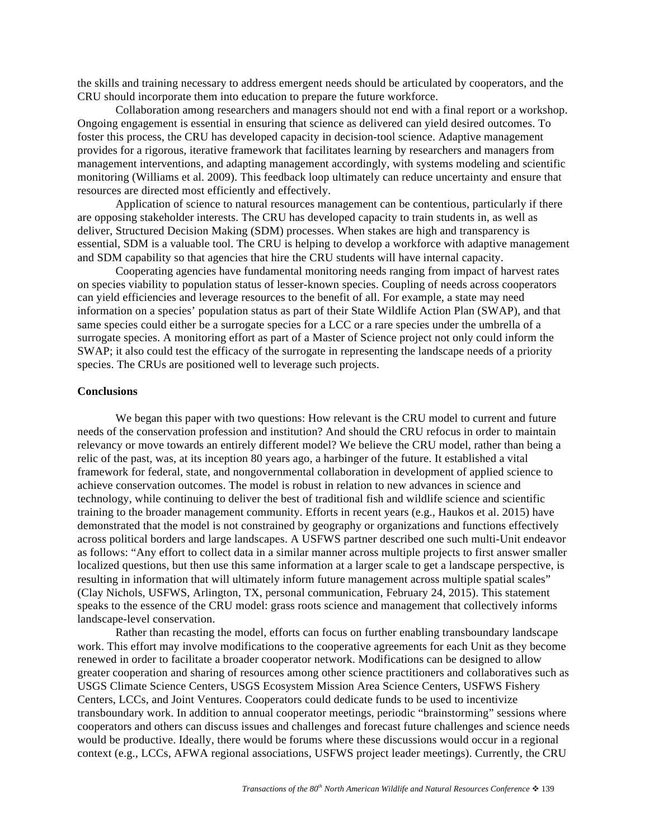the skills and training necessary to address emergent needs should be articulated by cooperators, and the CRU should incorporate them into education to prepare the future workforce.

 Collaboration among researchers and managers should not end with a final report or a workshop. Ongoing engagement is essential in ensuring that science as delivered can yield desired outcomes. To foster this process, the CRU has developed capacity in decision-tool science. Adaptive management provides for a rigorous, iterative framework that facilitates learning by researchers and managers from management interventions, and adapting management accordingly, with systems modeling and scientific monitoring (Williams et al. 2009). This feedback loop ultimately can reduce uncertainty and ensure that resources are directed most efficiently and effectively.

 Application of science to natural resources management can be contentious, particularly if there are opposing stakeholder interests. The CRU has developed capacity to train students in, as well as deliver, Structured Decision Making (SDM) processes. When stakes are high and transparency is essential, SDM is a valuable tool. The CRU is helping to develop a workforce with adaptive management and SDM capability so that agencies that hire the CRU students will have internal capacity.

 Cooperating agencies have fundamental monitoring needs ranging from impact of harvest rates on species viability to population status of lesser-known species. Coupling of needs across cooperators can yield efficiencies and leverage resources to the benefit of all. For example, a state may need information on a species' population status as part of their State Wildlife Action Plan (SWAP), and that same species could either be a surrogate species for a LCC or a rare species under the umbrella of a surrogate species. A monitoring effort as part of a Master of Science project not only could inform the SWAP; it also could test the efficacy of the surrogate in representing the landscape needs of a priority species. The CRUs are positioned well to leverage such projects.

#### **Conclusions**

 We began this paper with two questions: How relevant is the CRU model to current and future needs of the conservation profession and institution? And should the CRU refocus in order to maintain relevancy or move towards an entirely different model? We believe the CRU model, rather than being a relic of the past, was, at its inception 80 years ago, a harbinger of the future. It established a vital framework for federal, state, and nongovernmental collaboration in development of applied science to achieve conservation outcomes. The model is robust in relation to new advances in science and technology, while continuing to deliver the best of traditional fish and wildlife science and scientific training to the broader management community. Efforts in recent years (e.g., Haukos et al. 2015) have demonstrated that the model is not constrained by geography or organizations and functions effectively across political borders and large landscapes. A USFWS partner described one such multi-Unit endeavor as follows: "Any effort to collect data in a similar manner across multiple projects to first answer smaller localized questions, but then use this same information at a larger scale to get a landscape perspective, is resulting in information that will ultimately inform future management across multiple spatial scales" (Clay Nichols, USFWS, Arlington, TX, personal communication, February 24, 2015). This statement speaks to the essence of the CRU model: grass roots science and management that collectively informs landscape-level conservation.

 Rather than recasting the model, efforts can focus on further enabling transboundary landscape work. This effort may involve modifications to the cooperative agreements for each Unit as they become renewed in order to facilitate a broader cooperator network. Modifications can be designed to allow greater cooperation and sharing of resources among other science practitioners and collaboratives such as USGS Climate Science Centers, USGS Ecosystem Mission Area Science Centers, USFWS Fishery Centers, LCCs, and Joint Ventures. Cooperators could dedicate funds to be used to incentivize transboundary work. In addition to annual cooperator meetings, periodic "brainstorming" sessions where cooperators and others can discuss issues and challenges and forecast future challenges and science needs would be productive. Ideally, there would be forums where these discussions would occur in a regional context (e.g., LCCs, AFWA regional associations, USFWS project leader meetings). Currently, the CRU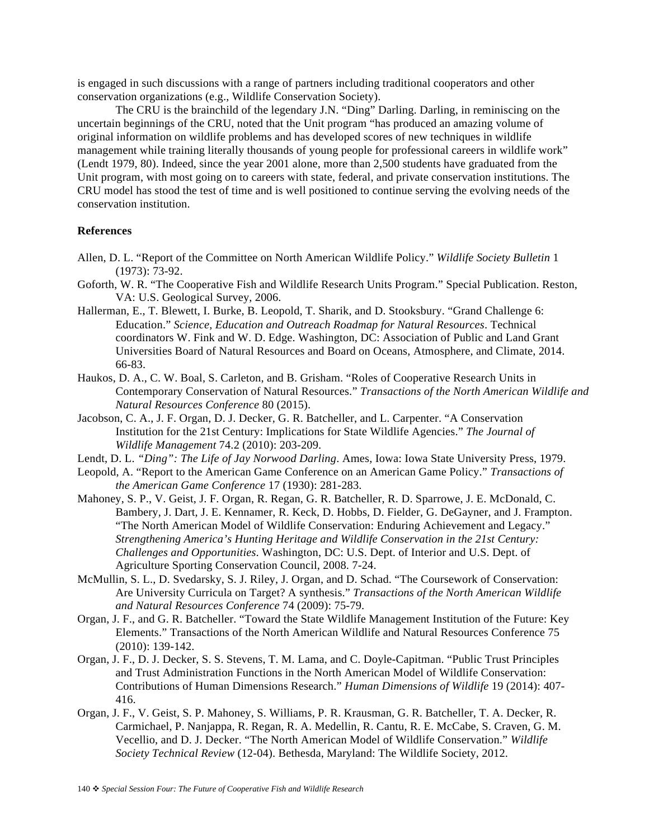is engaged in such discussions with a range of partners including traditional cooperators and other conservation organizations (e.g., Wildlife Conservation Society).

 The CRU is the brainchild of the legendary J.N. "Ding" Darling. Darling, in reminiscing on the uncertain beginnings of the CRU, noted that the Unit program "has produced an amazing volume of original information on wildlife problems and has developed scores of new techniques in wildlife management while training literally thousands of young people for professional careers in wildlife work" (Lendt 1979, 80). Indeed, since the year 2001 alone, more than 2,500 students have graduated from the Unit program, with most going on to careers with state, federal, and private conservation institutions. The CRU model has stood the test of time and is well positioned to continue serving the evolving needs of the conservation institution.

#### **References**

- Allen, D. L. "Report of the Committee on North American Wildlife Policy." *Wildlife Society Bulletin* 1 (1973): 73-92.
- Goforth, W. R. "The Cooperative Fish and Wildlife Research Units Program." Special Publication. Reston, VA: U.S. Geological Survey, 2006.
- Hallerman, E., T. Blewett, I. Burke, B. Leopold, T. Sharik, and D. Stooksbury. "Grand Challenge 6: Education." *Science, Education and Outreach Roadmap for Natural Resources*. Technical coordinators W. Fink and W. D. Edge. Washington, DC: Association of Public and Land Grant Universities Board of Natural Resources and Board on Oceans, Atmosphere, and Climate, 2014. 66-83.
- Haukos, D. A., C. W. Boal, S. Carleton, and B. Grisham. "Roles of Cooperative Research Units in Contemporary Conservation of Natural Resources." *Transactions of the North American Wildlife and Natural Resources Conference* 80 (2015).
- Jacobson, C. A., J. F. Organ, D. J. Decker, G. R. Batcheller, and L. Carpenter. "A Conservation Institution for the 21st Century: Implications for State Wildlife Agencies." *The Journal of Wildlife Management* 74.2 (2010): 203-209.
- Lendt, D. L. *"Ding": The Life of Jay Norwood Darling*. Ames, Iowa: Iowa State University Press, 1979.
- Leopold, A. "Report to the American Game Conference on an American Game Policy." *Transactions of the American Game Conference* 17 (1930): 281-283.
- Mahoney, S. P., V. Geist, J. F. Organ, R. Regan, G. R. Batcheller, R. D. Sparrowe, J. E. McDonald, C. Bambery, J. Dart, J. E. Kennamer, R. Keck, D. Hobbs, D. Fielder, G. DeGayner, and J. Frampton. "The North American Model of Wildlife Conservation: Enduring Achievement and Legacy." *Strengthening America's Hunting Heritage and Wildlife Conservation in the 21st Century: Challenges and Opportunities*. Washington, DC: U.S. Dept. of Interior and U.S. Dept. of Agriculture Sporting Conservation Council, 2008. 7-24.
- McMullin, S. L., D. Svedarsky, S. J. Riley, J. Organ, and D. Schad. "The Coursework of Conservation: Are University Curricula on Target? A synthesis." *Transactions of the North American Wildlife and Natural Resources Conference* 74 (2009): 75-79.
- Organ, J. F., and G. R. Batcheller. "Toward the State Wildlife Management Institution of the Future: Key Elements." Transactions of the North American Wildlife and Natural Resources Conference 75 (2010): 139-142.
- Organ, J. F., D. J. Decker, S. S. Stevens, T. M. Lama, and C. Doyle-Capitman. "Public Trust Principles and Trust Administration Functions in the North American Model of Wildlife Conservation: Contributions of Human Dimensions Research." *Human Dimensions of Wildlife* 19 (2014): 407- 416.
- Organ, J. F., V. Geist, S. P. Mahoney, S. Williams, P. R. Krausman, G. R. Batcheller, T. A. Decker, R. Carmichael, P. Nanjappa, R. Regan, R. A. Medellin, R. Cantu, R. E. McCabe, S. Craven, G. M. Vecellio, and D. J. Decker. "The North American Model of Wildlife Conservation." *Wildlife Society Technical Review* (12-04). Bethesda, Maryland: The Wildlife Society, 2012.